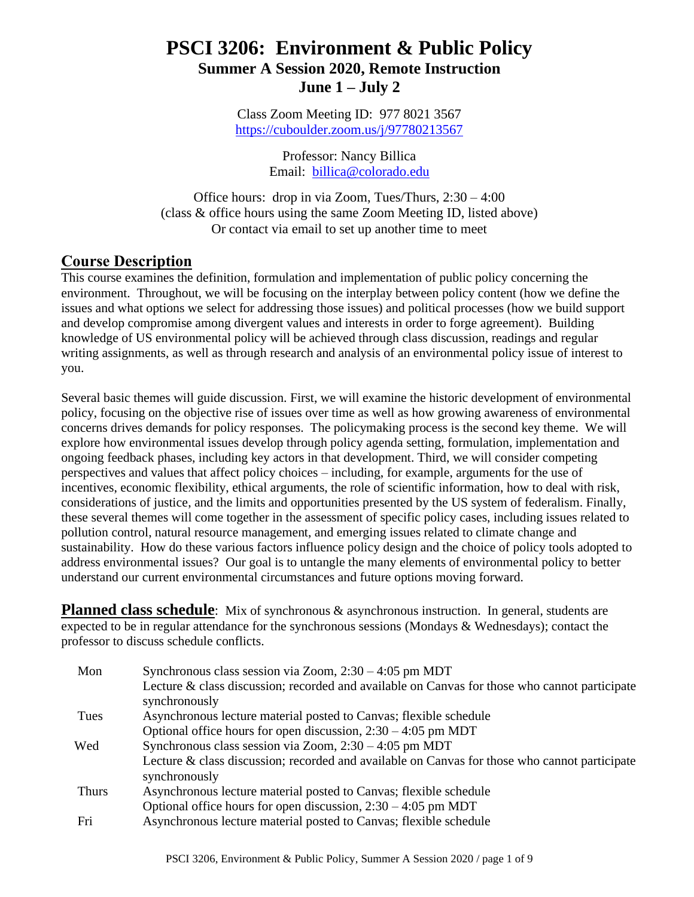# **PSCI 3206: Environment & Public Policy Summer A Session 2020, Remote Instruction June 1 – July 2**

Class Zoom Meeting ID: 977 8021 3567 <https://cuboulder.zoom.us/j/97780213567>

> Professor: Nancy Billica Email: [billica@colorado.edu](mailto:billica@colorado.edu)

Office hours: drop in via Zoom, Tues/Thurs, 2:30 – 4:00 (class & office hours using the same Zoom Meeting ID, listed above) Or contact via email to set up another time to meet

## **Course Description**

This course examines the definition, formulation and implementation of public policy concerning the environment. Throughout, we will be focusing on the interplay between policy content (how we define the issues and what options we select for addressing those issues) and political processes (how we build support and develop compromise among divergent values and interests in order to forge agreement). Building knowledge of US environmental policy will be achieved through class discussion, readings and regular writing assignments, as well as through research and analysis of an environmental policy issue of interest to you.

Several basic themes will guide discussion. First, we will examine the historic development of environmental policy, focusing on the objective rise of issues over time as well as how growing awareness of environmental concerns drives demands for policy responses. The policymaking process is the second key theme. We will explore how environmental issues develop through policy agenda setting, formulation, implementation and ongoing feedback phases, including key actors in that development. Third, we will consider competing perspectives and values that affect policy choices – including, for example, arguments for the use of incentives, economic flexibility, ethical arguments, the role of scientific information, how to deal with risk, considerations of justice, and the limits and opportunities presented by the US system of federalism. Finally, these several themes will come together in the assessment of specific policy cases, including issues related to pollution control, natural resource management, and emerging issues related to climate change and sustainability. How do these various factors influence policy design and the choice of policy tools adopted to address environmental issues? Our goal is to untangle the many elements of environmental policy to better understand our current environmental circumstances and future options moving forward.

**Planned class schedule**: Mix of synchronous & asynchronous instruction. In general, students are expected to be in regular attendance for the synchronous sessions (Mondays & Wednesdays); contact the professor to discuss schedule conflicts.

| Mon          | Synchronous class session via Zoom, $2:30 - 4:05$ pm MDT                                                       |
|--------------|----------------------------------------------------------------------------------------------------------------|
|              | Lecture & class discussion; recorded and available on Canvas for those who cannot participate<br>synchronously |
| Tues         | Asynchronous lecture material posted to Canvas; flexible schedule                                              |
|              | Optional office hours for open discussion, $2:30 - 4:05$ pm MDT                                                |
| Wed          | Synchronous class session via Zoom, $2:30 - 4:05$ pm MDT                                                       |
|              | Lecture & class discussion; recorded and available on Canvas for those who cannot participate                  |
|              | synchronously                                                                                                  |
| <b>Thurs</b> | Asynchronous lecture material posted to Canvas; flexible schedule                                              |
|              | Optional office hours for open discussion, $2:30 - 4:05$ pm MDT                                                |
| Fri          | Asynchronous lecture material posted to Canvas; flexible schedule                                              |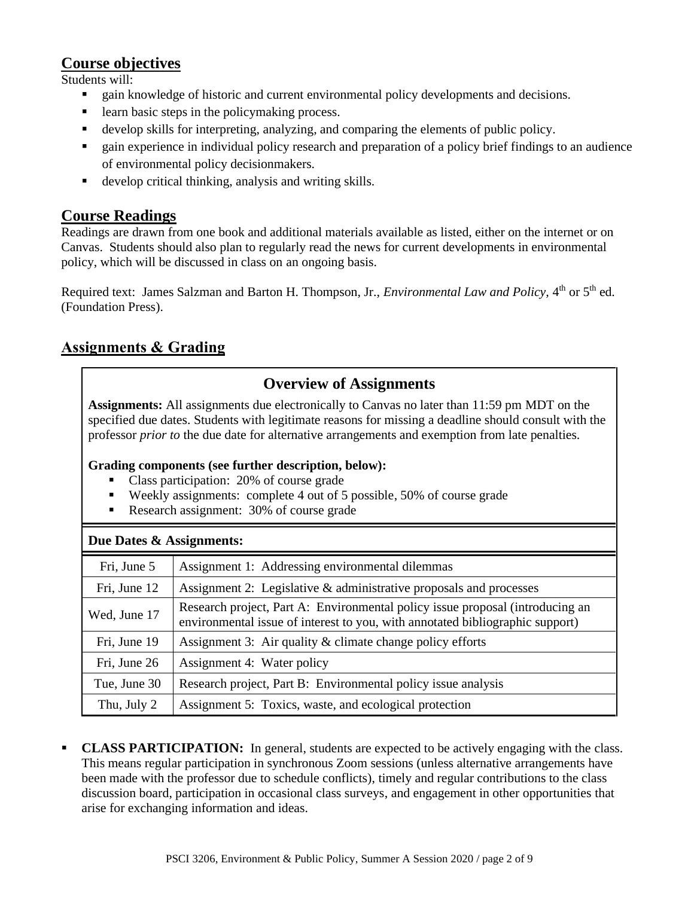## **Course objectives**

Students will:

- gain knowledge of historic and current environmental policy developments and decisions.
- learn basic steps in the policymaking process.
- develop skills for interpreting, analyzing, and comparing the elements of public policy.
- gain experience in individual policy research and preparation of a policy brief findings to an audience of environmental policy decisionmakers.
- develop critical thinking, analysis and writing skills.

## **Course Readings**

Readings are drawn from one book and additional materials available as listed, either on the internet or on Canvas. Students should also plan to regularly read the news for current developments in environmental policy, which will be discussed in class on an ongoing basis.

Required text: James Salzman and Barton H. Thompson, Jr., *Environmental Law and Policy*, 4<sup>th</sup> or 5<sup>th</sup> ed. (Foundation Press).

# **Assignments & Grading**

# **Overview of Assignments**

**Assignments:** All assignments due electronically to Canvas no later than 11:59 pm MDT on the specified due dates. Students with legitimate reasons for missing a deadline should consult with the professor *prior to* the due date for alternative arrangements and exemption from late penalties.

#### **Grading components (see further description, below):**

- Class participation: 20% of course grade
- Weekly assignments: complete 4 out of 5 possible, 50% of course grade
- **Research assignment: 30% of course grade**

| Due Dates & Assignments: |                                                                                                                                                                |  |  |
|--------------------------|----------------------------------------------------------------------------------------------------------------------------------------------------------------|--|--|
| Fri, June 5              | Assignment 1: Addressing environmental dilemmas                                                                                                                |  |  |
| Fri, June 12             | Assignment 2: Legislative & administrative proposals and processes                                                                                             |  |  |
| Wed, June 17             | Research project, Part A: Environmental policy issue proposal (introducing an<br>environmental issue of interest to you, with annotated bibliographic support) |  |  |
| Fri, June 19             | Assignment 3: Air quality & climate change policy efforts                                                                                                      |  |  |
| Fri, June 26             | Assignment 4: Water policy                                                                                                                                     |  |  |
| Tue, June 30             | Research project, Part B: Environmental policy issue analysis                                                                                                  |  |  |
| Thu, July 2              | Assignment 5: Toxics, waste, and ecological protection                                                                                                         |  |  |

**CLASS PARTICIPATION:** In general, students are expected to be actively engaging with the class. This means regular participation in synchronous Zoom sessions (unless alternative arrangements have been made with the professor due to schedule conflicts), timely and regular contributions to the class discussion board, participation in occasional class surveys, and engagement in other opportunities that arise for exchanging information and ideas.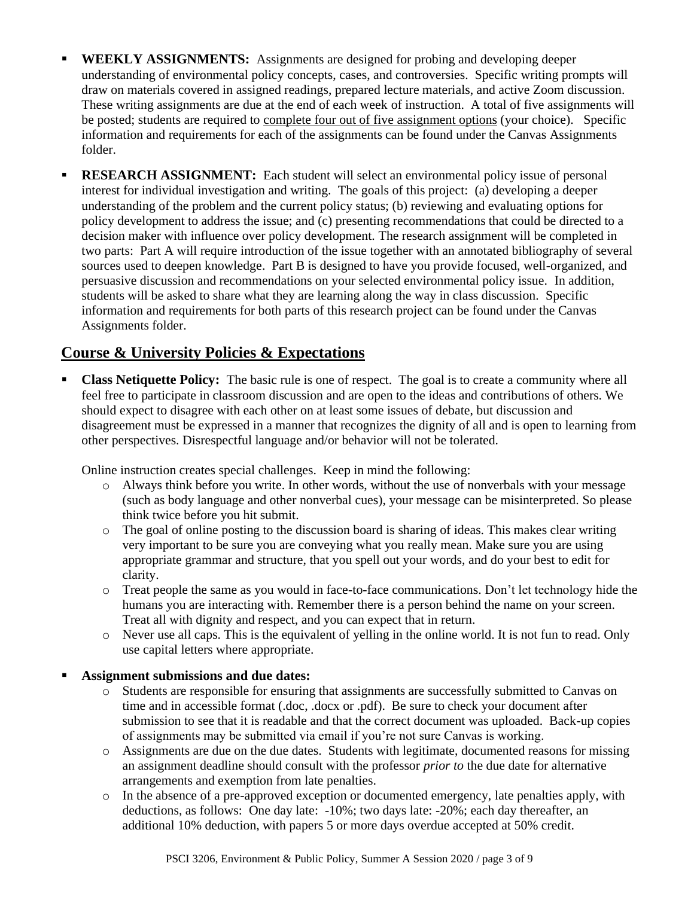- **WEEKLY ASSIGNMENTS:** Assignments are designed for probing and developing deeper understanding of environmental policy concepts, cases, and controversies. Specific writing prompts will draw on materials covered in assigned readings, prepared lecture materials, and active Zoom discussion. These writing assignments are due at the end of each week of instruction. A total of five assignments will be posted; students are required to complete four out of five assignment options (your choice). Specific information and requirements for each of the assignments can be found under the Canvas Assignments folder.
- **RESEARCH ASSIGNMENT:** Each student will select an environmental policy issue of personal interest for individual investigation and writing. The goals of this project: (a) developing a deeper understanding of the problem and the current policy status; (b) reviewing and evaluating options for policy development to address the issue; and (c) presenting recommendations that could be directed to a decision maker with influence over policy development. The research assignment will be completed in two parts: Part A will require introduction of the issue together with an annotated bibliography of several sources used to deepen knowledge. Part B is designed to have you provide focused, well-organized, and persuasive discussion and recommendations on your selected environmental policy issue. In addition, students will be asked to share what they are learning along the way in class discussion. Specific information and requirements for both parts of this research project can be found under the Canvas Assignments folder.

## **Course & University Policies & Expectations**

**Class Netiquette Policy:** The basic rule is one of respect. The goal is to create a community where all feel free to participate in classroom discussion and are open to the ideas and contributions of others. We should expect to disagree with each other on at least some issues of debate, but discussion and disagreement must be expressed in a manner that recognizes the dignity of all and is open to learning from other perspectives. Disrespectful language and/or behavior will not be tolerated.

Online instruction creates special challenges. Keep in mind the following:

- o Always think before you write. In other words, without the use of nonverbals with your message (such as body language and other nonverbal cues), your message can be misinterpreted. So please think twice before you hit submit.
- o The goal of online posting to the discussion board is sharing of ideas. This makes clear writing very important to be sure you are conveying what you really mean. Make sure you are using appropriate grammar and structure, that you spell out your words, and do your best to edit for clarity.
- o Treat people the same as you would in face-to-face communications. Don't let technology hide the humans you are interacting with. Remember there is a person behind the name on your screen. Treat all with dignity and respect, and you can expect that in return.
- o Never use all caps. This is the equivalent of yelling in the online world. It is not fun to read. Only use capital letters where appropriate.

#### Assignment submissions and due dates:

- o Students are responsible for ensuring that assignments are successfully submitted to Canvas on time and in accessible format (.doc, .docx or .pdf). Be sure to check your document after submission to see that it is readable and that the correct document was uploaded. Back-up copies of assignments may be submitted via email if you're not sure Canvas is working.
- o Assignments are due on the due dates. Students with legitimate, documented reasons for missing an assignment deadline should consult with the professor *prior to* the due date for alternative arrangements and exemption from late penalties.
- o In the absence of a pre-approved exception or documented emergency, late penalties apply, with deductions, as follows: One day late: -10%; two days late: -20%; each day thereafter, an additional 10% deduction, with papers 5 or more days overdue accepted at 50% credit.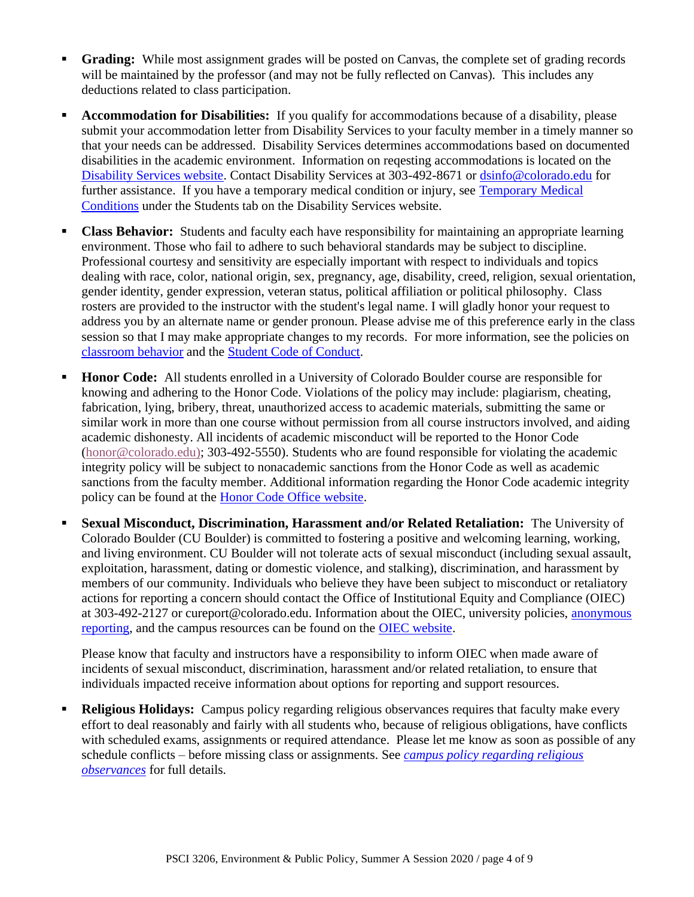- **Grading:** While most assignment grades will be posted on Canvas, the complete set of grading records will be maintained by the professor (and may not be fully reflected on Canvas). This includes any deductions related to class participation.
- **EXECOMMODATION FORMORY IS 2015 IN 2015 IN STARK IS A 4 Accommodations** because of a disability, please submit your accommodation letter from Disability Services to your faculty member in a timely manner so that your needs can be addressed. Disability Services determines accommodations based on documented disabilities in the academic environment. Information on reqesting accommodations is located on the [Disability Services website.](http://www.colorado.edu/disabilityservices/students) Contact Disability Services at 303-492-8671 or [dsinfo@colorado.edu](mailto:dsinfo@colorado.edu) for further assistance. If you have a temporary medical condition or injury, see [Temporary Medical](http://www.colorado.edu/disabilityservices/students/temporary-medical-conditions)  [Conditions](http://www.colorado.edu/disabilityservices/students/temporary-medical-conditions) under the Students tab on the Disability Services website.
- **Class Behavior:** Students and faculty each have responsibility for maintaining an appropriate learning environment. Those who fail to adhere to such behavioral standards may be subject to discipline. Professional courtesy and sensitivity are especially important with respect to individuals and topics dealing with race, color, national origin, sex, pregnancy, age, disability, creed, religion, sexual orientation, gender identity, gender expression, veteran status, political affiliation or political philosophy. Class rosters are provided to the instructor with the student's legal name. I will gladly honor your request to address you by an alternate name or gender pronoun. Please advise me of this preference early in the class session so that I may make appropriate changes to my records. For more information, see the policies on [classroom behavior](http://www.colorado.edu/policies/student-classroom-and-course-related-behavior) and the [Student Code of Conduct.](http://www.colorado.edu/osccr/)
- **Honor Code:** All students enrolled in a University of Colorado Boulder course are responsible for knowing and adhering to the Honor Code. Violations of the policy may include: plagiarism, cheating, fabrication, lying, bribery, threat, unauthorized access to academic materials, submitting the same or similar work in more than one course without permission from all course instructors involved, and aiding academic dishonesty. All incidents of academic misconduct will be reported to the Honor Code [\(honor@colorado.edu\)](mailto:honor@colorado.edu); 303-492-5550). Students who are found responsible for violating the academic integrity policy will be subject to nonacademic sanctions from the Honor Code as well as academic sanctions from the faculty member. Additional information regarding the Honor Code academic integrity policy can be found at the **Honor Code Office website**.
- **Sexual Misconduct, Discrimination, Harassment and/or Related Retaliation:** The University of Colorado Boulder (CU Boulder) is committed to fostering a positive and welcoming learning, working, and living environment. CU Boulder will not tolerate acts of sexual misconduct (including sexual assault, exploitation, harassment, dating or domestic violence, and stalking), discrimination, and harassment by members of our community. Individuals who believe they have been subject to misconduct or retaliatory actions for reporting a concern should contact the Office of Institutional Equity and Compliance (OIEC) at 303-492-2127 or cureport@colorado.edu. Information about the OIEC, university policies, [anonymous](https://cuboulder.qualtrics.com/jfe/form/SV_0PnqVK4kkIJIZnf)  [reporting,](https://cuboulder.qualtrics.com/jfe/form/SV_0PnqVK4kkIJIZnf) and the campus resources can be found on the [OIEC website.](http://www.colorado.edu/institutionalequity/)

Please know that faculty and instructors have a responsibility to inform OIEC when made aware of incidents of sexual misconduct, discrimination, harassment and/or related retaliation, to ensure that individuals impacted receive information about options for reporting and support resources.

**Religious Holidays:** Campus policy regarding religious observances requires that faculty make every effort to deal reasonably and fairly with all students who, because of religious obligations, have conflicts with scheduled exams, assignments or required attendance. Please let me know as soon as possible of any schedule conflicts – before missing class or assignments. See *[campus policy regarding religious](http://www.colorado.edu/policies/observance-religious-holidays-and-absences-classes-andor-exams)  [observances](http://www.colorado.edu/policies/observance-religious-holidays-and-absences-classes-andor-exams)* for full details.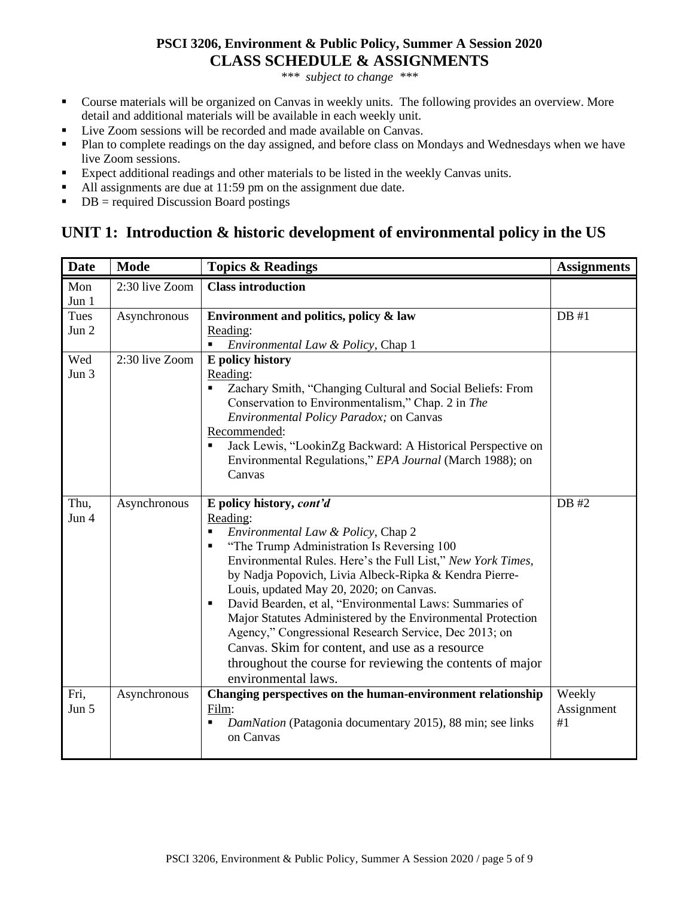### **PSCI 3206, Environment & Public Policy, Summer A Session 2020 CLASS SCHEDULE & ASSIGNMENTS**

*\*\*\* subject to change \*\*\**

- Course materials will be organized on Canvas in weekly units. The following provides an overview. More detail and additional materials will be available in each weekly unit.
- Live Zoom sessions will be recorded and made available on Canvas.
- Plan to complete readings on the day assigned, and before class on Mondays and Wednesdays when we have live Zoom sessions.
- Expect additional readings and other materials to be listed in the weekly Canvas units.
- All assignments are due at 11:59 pm on the assignment due date.
- $\blacksquare$  DB = required Discussion Board postings

# **UNIT 1: Introduction & historic development of environmental policy in the US**

| <b>Date</b>   | <b>Mode</b>    | <b>Topics &amp; Readings</b>                                                                                                                                                                                                                                                                                                                                                                                                                                                                                                                                                                                                     | <b>Assignments</b>         |
|---------------|----------------|----------------------------------------------------------------------------------------------------------------------------------------------------------------------------------------------------------------------------------------------------------------------------------------------------------------------------------------------------------------------------------------------------------------------------------------------------------------------------------------------------------------------------------------------------------------------------------------------------------------------------------|----------------------------|
| Mon<br>Jun 1  | 2:30 live Zoom | <b>Class introduction</b>                                                                                                                                                                                                                                                                                                                                                                                                                                                                                                                                                                                                        |                            |
| Tues<br>Jun 2 | Asynchronous   | Environment and politics, policy & law<br>Reading:<br>Environmental Law & Policy, Chap 1<br>٠                                                                                                                                                                                                                                                                                                                                                                                                                                                                                                                                    | DB#1                       |
| Wed<br>Jun 3  | 2:30 live Zoom | E policy history<br>Reading:<br>Zachary Smith, "Changing Cultural and Social Beliefs: From<br>٠<br>Conservation to Environmentalism," Chap. 2 in The<br>Environmental Policy Paradox; on Canvas<br>Recommended:<br>Jack Lewis, "LookinZg Backward: A Historical Perspective on<br>п<br>Environmental Regulations," EPA Journal (March 1988); on<br>Canvas                                                                                                                                                                                                                                                                        |                            |
| Thu,<br>Jun 4 | Asynchronous   | E policy history, cont'd<br>Reading:<br>Environmental Law & Policy, Chap 2<br>"The Trump Administration Is Reversing 100<br>Е<br>Environmental Rules. Here's the Full List," New York Times,<br>by Nadja Popovich, Livia Albeck-Ripka & Kendra Pierre-<br>Louis, updated May 20, 2020; on Canvas.<br>David Bearden, et al, "Environmental Laws: Summaries of<br>п<br>Major Statutes Administered by the Environmental Protection<br>Agency," Congressional Research Service, Dec 2013; on<br>Canvas. Skim for content, and use as a resource<br>throughout the course for reviewing the contents of major<br>environmental laws. | DB #2                      |
| Fri,<br>Jun 5 | Asynchronous   | Changing perspectives on the human-environment relationship<br>Film:<br>DamNation (Patagonia documentary 2015), 88 min; see links<br>П<br>on Canvas                                                                                                                                                                                                                                                                                                                                                                                                                                                                              | Weekly<br>Assignment<br>#1 |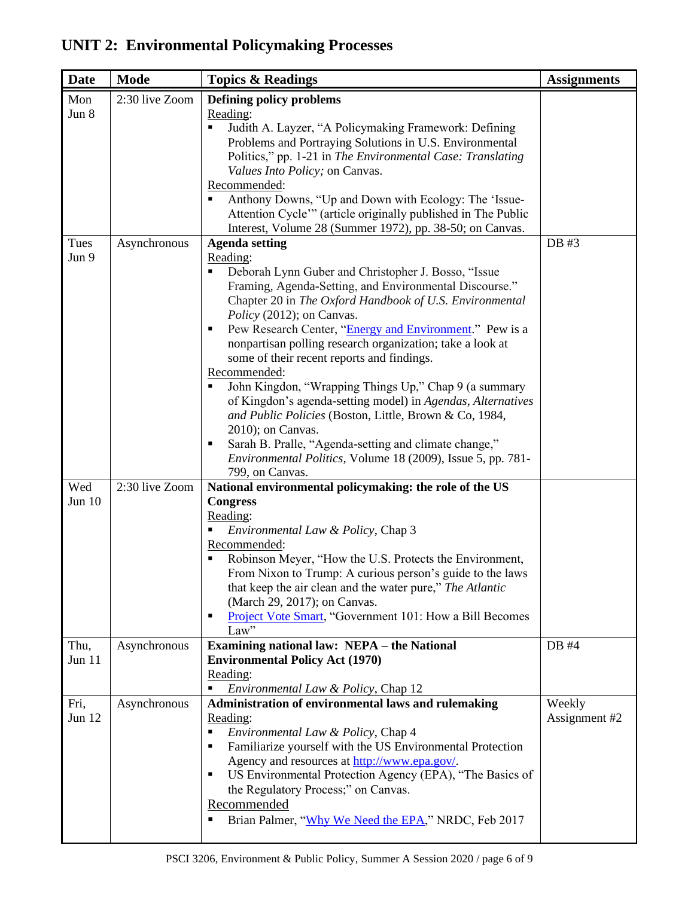# **UNIT 2: Environmental Policymaking Processes**

| <b>Date</b>      | <b>Mode</b>    | <b>Topics &amp; Readings</b>                                                                                                                                                                                                                                                                                                                                                                                                                                                                                                                                                                                                                                                                                                                                              | <b>Assignments</b>      |
|------------------|----------------|---------------------------------------------------------------------------------------------------------------------------------------------------------------------------------------------------------------------------------------------------------------------------------------------------------------------------------------------------------------------------------------------------------------------------------------------------------------------------------------------------------------------------------------------------------------------------------------------------------------------------------------------------------------------------------------------------------------------------------------------------------------------------|-------------------------|
| Mon              | 2:30 live Zoom | Defining policy problems                                                                                                                                                                                                                                                                                                                                                                                                                                                                                                                                                                                                                                                                                                                                                  |                         |
| Jun 8            |                | Reading:<br>Judith A. Layzer, "A Policymaking Framework: Defining<br>٠<br>Problems and Portraying Solutions in U.S. Environmental<br>Politics," pp. 1-21 in The Environmental Case: Translating<br>Values Into Policy; on Canvas.<br>Recommended:<br>Anthony Downs, "Up and Down with Ecology: The 'Issue-<br>Attention Cycle" (article originally published in The Public                                                                                                                                                                                                                                                                                                                                                                                                |                         |
| Tues             |                | Interest, Volume 28 (Summer 1972), pp. 38-50; on Canvas.                                                                                                                                                                                                                                                                                                                                                                                                                                                                                                                                                                                                                                                                                                                  | DB #3                   |
| Jun 9            | Asynchronous   | <b>Agenda setting</b><br>Reading:<br>Deborah Lynn Guber and Christopher J. Bosso, "Issue<br>Framing, Agenda-Setting, and Environmental Discourse."<br>Chapter 20 in The Oxford Handbook of U.S. Environmental<br>Policy (2012); on Canvas.<br>Pew Research Center, "Energy and Environment." Pew is a<br>٠<br>nonpartisan polling research organization; take a look at<br>some of their recent reports and findings.<br>Recommended:<br>John Kingdon, "Wrapping Things Up," Chap 9 (a summary<br>of Kingdon's agenda-setting model) in Agendas, Alternatives<br>and Public Policies (Boston, Little, Brown & Co, 1984,<br>2010); on Canvas.<br>Sarah B. Pralle, "Agenda-setting and climate change,"<br>п<br>Environmental Politics, Volume 18 (2009), Issue 5, pp. 781- |                         |
| Wed              | 2:30 live Zoom | 799, on Canvas.<br>National environmental policymaking: the role of the US                                                                                                                                                                                                                                                                                                                                                                                                                                                                                                                                                                                                                                                                                                |                         |
| Jun $10$         |                | <b>Congress</b><br>Reading:<br>Environmental Law & Policy, Chap 3<br>Recommended:<br>Robinson Meyer, "How the U.S. Protects the Environment,<br>٠<br>From Nixon to Trump: A curious person's guide to the laws<br>that keep the air clean and the water pure," The Atlantic<br>(March 29, 2017); on Canvas.<br>Project Vote Smart, "Government 101: How a Bill Becomes<br>٠<br>Law"                                                                                                                                                                                                                                                                                                                                                                                       |                         |
| Thu,             | Asynchronous   | <b>Examining national law: NEPA - the National</b>                                                                                                                                                                                                                                                                                                                                                                                                                                                                                                                                                                                                                                                                                                                        | DB #4                   |
| Jun 11           |                | <b>Environmental Policy Act (1970)</b><br>Reading:<br>Environmental Law & Policy, Chap 12<br>٠                                                                                                                                                                                                                                                                                                                                                                                                                                                                                                                                                                                                                                                                            |                         |
| Fri,<br>Jun $12$ | Asynchronous   | Administration of environmental laws and rulemaking<br>Reading:<br>Environmental Law & Policy, Chap 4<br>٠<br>Familiarize yourself with the US Environmental Protection<br>٠<br>Agency and resources at http://www.epa.gov/.<br>US Environmental Protection Agency (EPA), "The Basics of<br>п<br>the Regulatory Process;" on Canvas.<br>Recommended<br>Brian Palmer, "Why We Need the EPA," NRDC, Feb 2017                                                                                                                                                                                                                                                                                                                                                                | Weekly<br>Assignment #2 |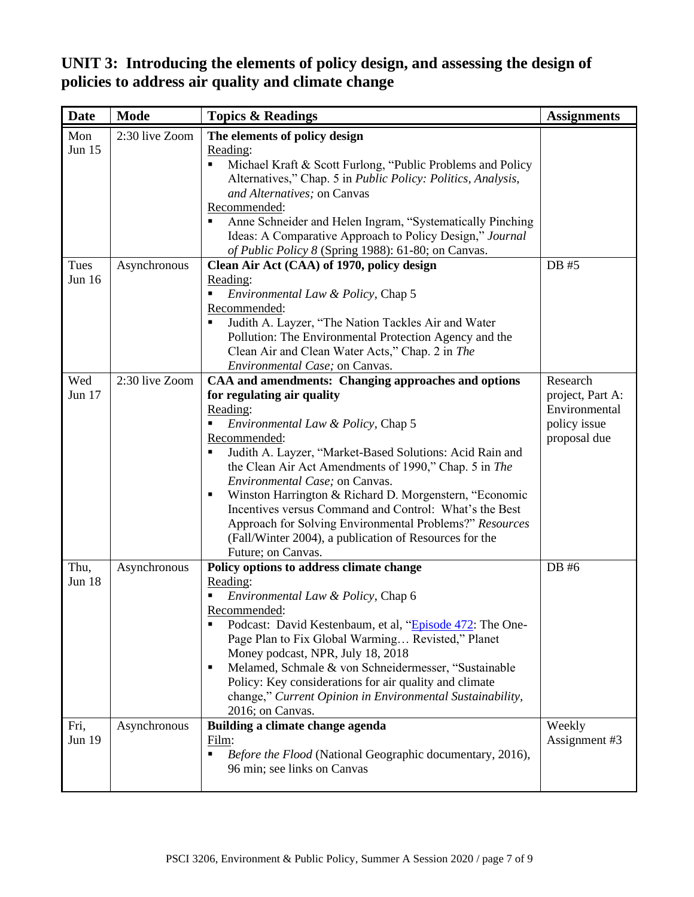**UNIT 3: Introducing the elements of policy design, and assessing the design of policies to address air quality and climate change**

| <b>Date</b>    | <b>Mode</b>    | <b>Topics &amp; Readings</b>                                                                                                                                                                                                                                                                                                                                                                                                                                                                                                                                                   | <b>Assignments</b>                                                            |
|----------------|----------------|--------------------------------------------------------------------------------------------------------------------------------------------------------------------------------------------------------------------------------------------------------------------------------------------------------------------------------------------------------------------------------------------------------------------------------------------------------------------------------------------------------------------------------------------------------------------------------|-------------------------------------------------------------------------------|
| Mon<br>Jun 15  | 2:30 live Zoom | The elements of policy design<br>Reading:<br>Michael Kraft & Scott Furlong, "Public Problems and Policy<br>Alternatives," Chap. 5 in Public Policy: Politics, Analysis,<br>and Alternatives; on Canvas<br>Recommended:<br>Anne Schneider and Helen Ingram, "Systematically Pinching<br>٠<br>Ideas: A Comparative Approach to Policy Design," Journal<br>of Public Policy 8 (Spring 1988): 61-80; on Canvas.                                                                                                                                                                    |                                                                               |
| Tues<br>Jun 16 | Asynchronous   | Clean Air Act (CAA) of 1970, policy design<br>Reading:<br>Environmental Law & Policy, Chap 5<br>Recommended:<br>Judith A. Layzer, "The Nation Tackles Air and Water<br>Pollution: The Environmental Protection Agency and the<br>Clean Air and Clean Water Acts," Chap. 2 in The<br>Environmental Case; on Canvas.                                                                                                                                                                                                                                                             | DB #5                                                                         |
| Wed<br>Jun 17  | 2:30 live Zoom | CAA and amendments: Changing approaches and options<br>for regulating air quality<br>Reading:<br>Environmental Law & Policy, Chap 5<br>Recommended:<br>Judith A. Layzer, "Market-Based Solutions: Acid Rain and<br>the Clean Air Act Amendments of 1990," Chap. 5 in The<br>Environmental Case; on Canvas.<br>Winston Harrington & Richard D. Morgenstern, "Economic<br>п<br>Incentives versus Command and Control: What's the Best<br>Approach for Solving Environmental Problems?" Resources<br>(Fall/Winter 2004), a publication of Resources for the<br>Future; on Canvas. | Research<br>project, Part A:<br>Environmental<br>policy issue<br>proposal due |
| Thu,<br>Jun 18 | Asynchronous   | Policy options to address climate change<br>Reading:<br>Environmental Law & Policy, Chap 6<br>Recommended:<br>Podcast: David Kestenbaum, et al, "Episode 472: The One-<br>п<br>Page Plan to Fix Global Warming Revisted," Planet<br>Money podcast, NPR, July 18, 2018<br>Melamed, Schmale & von Schneidermesser, "Sustainable<br>٠<br>Policy: Key considerations for air quality and climate<br>change," Current Opinion in Environmental Sustainability,<br>2016; on Canvas.                                                                                                  | DB #6                                                                         |
| Fri,<br>Jun 19 | Asynchronous   | Building a climate change agenda<br>Film:<br>Before the Flood (National Geographic documentary, 2016),<br>96 min; see links on Canvas                                                                                                                                                                                                                                                                                                                                                                                                                                          | Weekly<br>Assignment #3                                                       |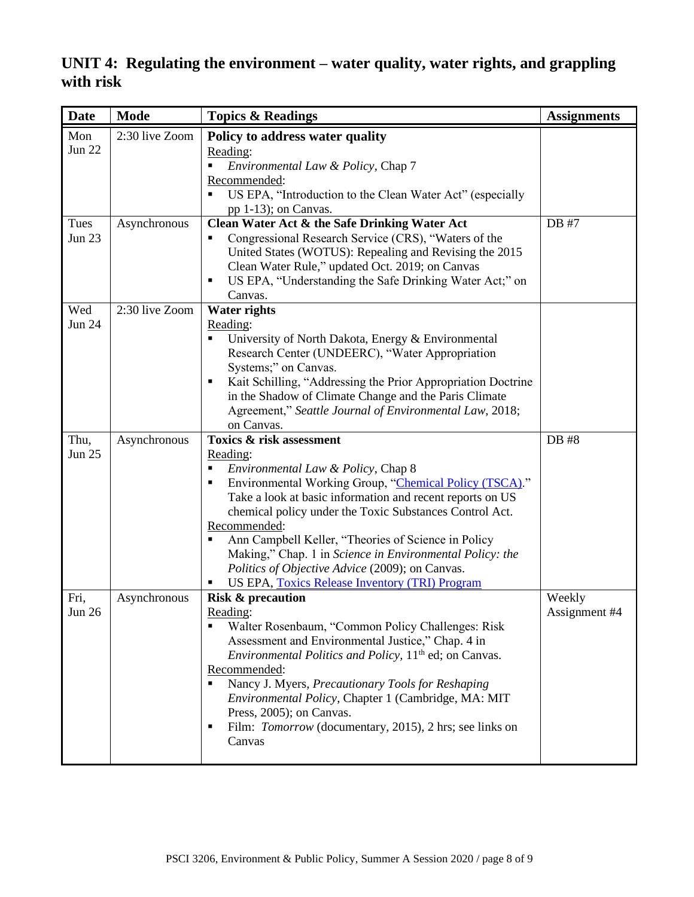**UNIT 4: Regulating the environment – water quality, water rights, and grappling with risk**

| <b>Date</b>                  | <b>Mode</b>                    | <b>Topics &amp; Readings</b>                                                                                                                                                                                                                                                                                                                                                                                                                                                                                        | <b>Assignments</b>      |
|------------------------------|--------------------------------|---------------------------------------------------------------------------------------------------------------------------------------------------------------------------------------------------------------------------------------------------------------------------------------------------------------------------------------------------------------------------------------------------------------------------------------------------------------------------------------------------------------------|-------------------------|
| Mon<br><b>Jun 22</b><br>Tues | 2:30 live Zoom<br>Asynchronous | Policy to address water quality<br>Reading:<br>Environmental Law & Policy, Chap 7<br>Recommended:<br>US EPA, "Introduction to the Clean Water Act" (especially<br>pp 1-13); on Canvas.<br>Clean Water Act & the Safe Drinking Water Act                                                                                                                                                                                                                                                                             | DB #7                   |
| <b>Jun 23</b>                |                                | Congressional Research Service (CRS), "Waters of the<br>Ξ<br>United States (WOTUS): Repealing and Revising the 2015<br>Clean Water Rule," updated Oct. 2019; on Canvas<br>US EPA, "Understanding the Safe Drinking Water Act;" on<br>٠<br>Canvas.                                                                                                                                                                                                                                                                   |                         |
| Wed<br><b>Jun 24</b>         | 2:30 live Zoom                 | <b>Water rights</b><br>Reading:<br>University of North Dakota, Energy & Environmental<br>Research Center (UNDEERC), "Water Appropriation<br>Systems;" on Canvas.<br>Kait Schilling, "Addressing the Prior Appropriation Doctrine<br>п<br>in the Shadow of Climate Change and the Paris Climate<br>Agreement," Seattle Journal of Environmental Law, 2018;<br>on Canvas.                                                                                                                                             |                         |
| Thu,<br><b>Jun 25</b>        | Asynchronous                   | Toxics & risk assessment<br>Reading:<br>Environmental Law & Policy, Chap 8<br>٠<br>Environmental Working Group, "Chemical Policy (TSCA)."<br>٠<br>Take a look at basic information and recent reports on US<br>chemical policy under the Toxic Substances Control Act.<br>Recommended:<br>Ann Campbell Keller, "Theories of Science in Policy<br>п<br>Making," Chap. 1 in Science in Environmental Policy: the<br>Politics of Objective Advice (2009); on Canvas.<br>US EPA, Toxics Release Inventory (TRI) Program | DB #8                   |
| Fri,<br>Jun $26$             | Asynchronous                   | <b>Risk &amp; precaution</b><br>Reading:<br>Walter Rosenbaum, "Common Policy Challenges: Risk<br>Assessment and Environmental Justice," Chap. 4 in<br>Environmental Politics and Policy, 11 <sup>th</sup> ed; on Canvas.<br>Recommended:<br>Nancy J. Myers, Precautionary Tools for Reshaping<br>٠<br>Environmental Policy, Chapter 1 (Cambridge, MA: MIT<br>Press, 2005); on Canvas.<br>Film: <i>Tomorrow</i> (documentary, 2015), 2 hrs; see links on<br>٠<br>Canvas                                              | Weekly<br>Assignment #4 |